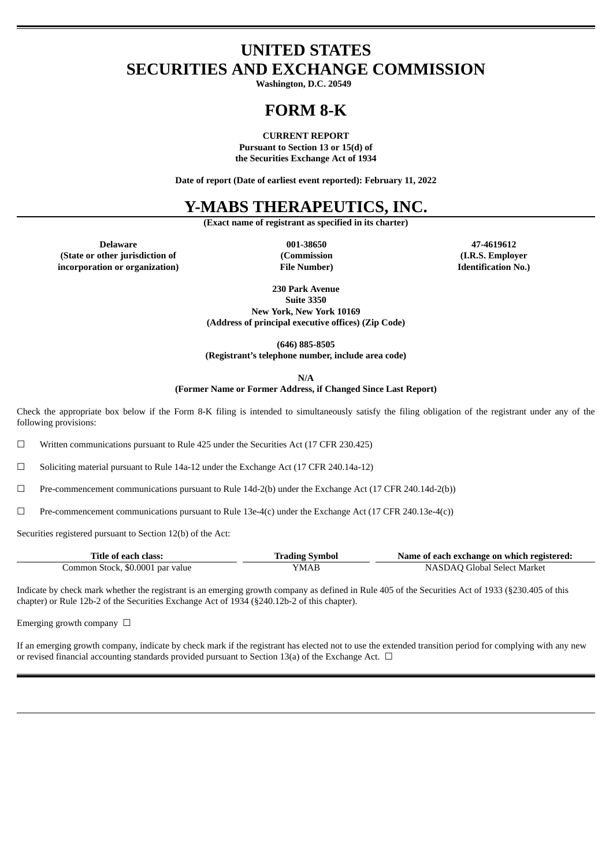# **UNITED STATES SECURITIES AND EXCHANGE COMMISSION**

**Washington, D.C. 20549**

# **FORM 8-K**

**CURRENT REPORT**

**Pursuant to Section 13 or 15(d) of the Securities Exchange Act of 1934**

**Date of report (Date of earliest event reported): February 11, 2022**

# **Y-MABS THERAPEUTICS, INC.**

**(Exact name of registrant as specified in its charter)**

**Delaware 001-38650 47-4619612 (State or other jurisdiction of incorporation or organization)**

**(Commission File Number)**

**(I.R.S. Employer Identification No.)**

**230 Park Avenue Suite 3350 New York, New York 10169 (Address of principal executive offices) (Zip Code)**

**(646) 885-8505 (Registrant's telephone number, include area code)**

**N/A**

**(Former Name or Former Address, if Changed Since Last Report)**

Check the appropriate box below if the Form 8-K filing is intended to simultaneously satisfy the filing obligation of the registrant under any of the following provisions:

☐ Written communications pursuant to Rule 425 under the Securities Act (17 CFR 230.425)

☐ Soliciting material pursuant to Rule 14a-12 under the Exchange Act (17 CFR 240.14a-12)

☐ Pre-commencement communications pursuant to Rule 14d-2(b) under the Exchange Act (17 CFR 240.14d-2(b))

☐ Pre-commencement communications pursuant to Rule 13e-4(c) under the Exchange Act (17 CFR 240.13e-4(c))

Securities registered pursuant to Section 12(b) of the Act:

| Title of each class:             | <b>Trading Symbol</b> | Name of each exchange on which registered: |
|----------------------------------|-----------------------|--------------------------------------------|
| Common Stock, \$0.0001 par value | YMAB                  | NASDAQ Global Select Market                |

Indicate by check mark whether the registrant is an emerging growth company as defined in Rule 405 of the Securities Act of 1933 (§230.405 of this chapter) or Rule 12b-2 of the Securities Exchange Act of 1934 (§240.12b-2 of this chapter).

Emerging growth company  $\Box$ 

If an emerging growth company, indicate by check mark if the registrant has elected not to use the extended transition period for complying with any new or revised financial accounting standards provided pursuant to Section 13(a) of the Exchange Act.  $\Box$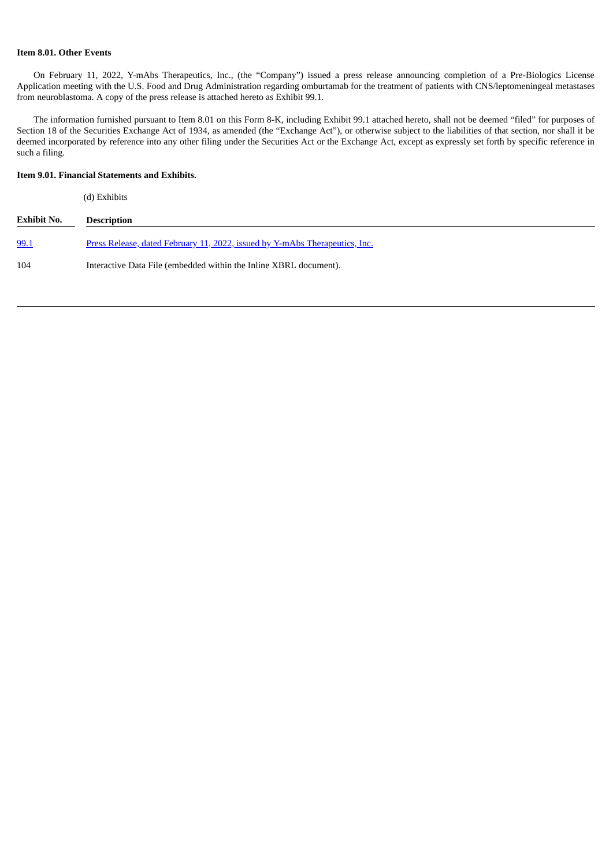## **Item 8.01. Other Events**

On February 11, 2022, Y-mAbs Therapeutics, Inc., (the "Company") issued a press release announcing completion of a Pre-Biologics License Application meeting with the U.S. Food and Drug Administration regarding omburtamab for the treatment of patients with CNS/leptomeningeal metastases from neuroblastoma. A copy of the press release is attached hereto as Exhibit 99.1.

The information furnished pursuant to Item 8.01 on this Form 8-K, including Exhibit 99.1 attached hereto, shall not be deemed "filed" for purposes of Section 18 of the Securities Exchange Act of 1934, as amended (the "Exchange Act"), or otherwise subject to the liabilities of that section, nor shall it be deemed incorporated by reference into any other filing under the Securities Act or the Exchange Act, except as expressly set forth by specific reference in such a filing.

## **Item 9.01. Financial Statements and Exhibits.**

(d) Exhibits

| <b>Exhibit No.</b> | <b>Description</b>                                                          |
|--------------------|-----------------------------------------------------------------------------|
| 99.1               | Press Release, dated February 11, 2022, issued by Y-mAbs Therapeutics, Inc. |
| 104                | Interactive Data File (embedded within the Inline XBRL document).           |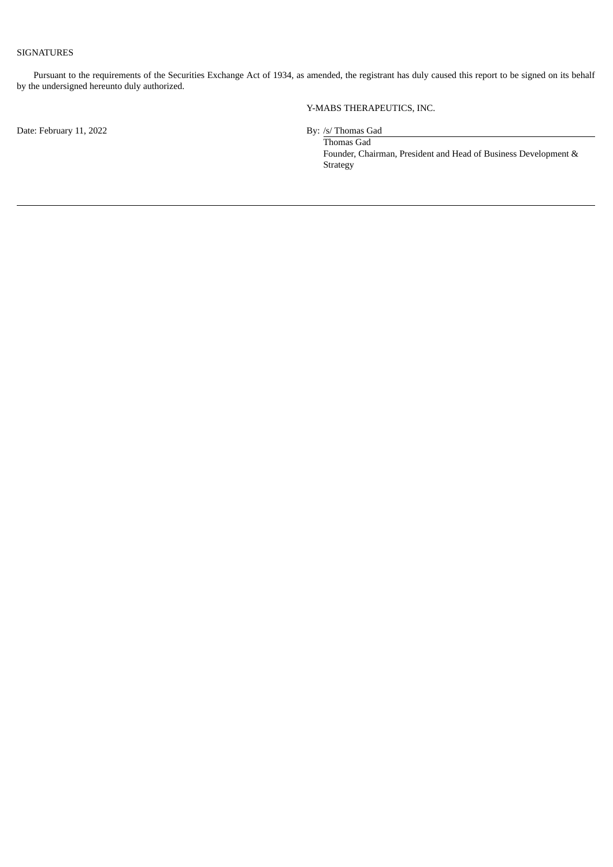## SIGNATURES

Pursuant to the requirements of the Securities Exchange Act of 1934, as amended, the registrant has duly caused this report to be signed on its behalf by the undersigned hereunto duly authorized.

Date: February 11, 2022 By: /s/ Thomas Gad

Y-MABS THERAPEUTICS, INC.

Thomas Gad Founder, Chairman, President and Head of Business Development & Strategy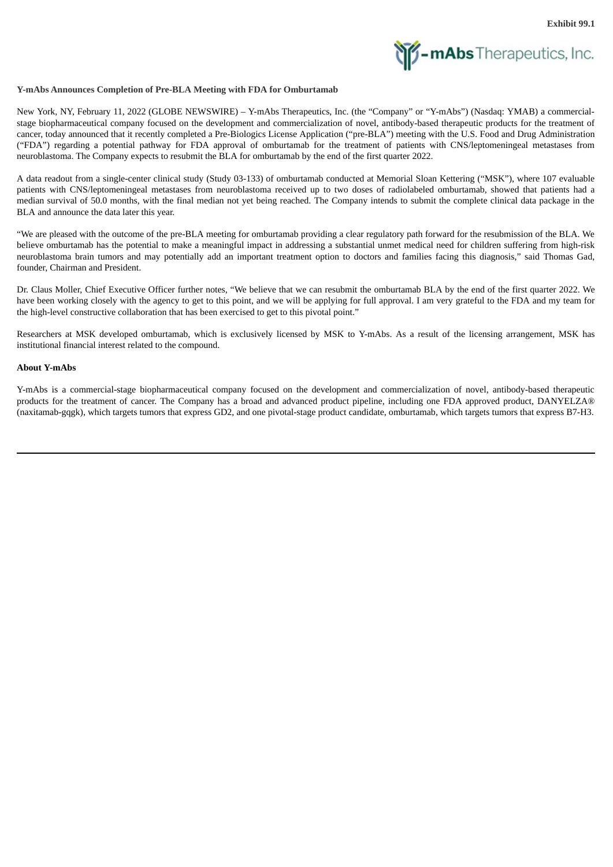

### <span id="page-3-0"></span>**Y-mAbs Announces Completion of Pre-BLA Meeting with FDA for Omburtamab**

New York, NY, February 11, 2022 (GLOBE NEWSWIRE) – Y-mAbs Therapeutics, Inc. (the "Company" or "Y-mAbs") (Nasdaq: YMAB) a commercialstage biopharmaceutical company focused on the development and commercialization of novel, antibody-based therapeutic products for the treatment of cancer, today announced that it recently completed a Pre-Biologics License Application ("pre-BLA") meeting with the U.S. Food and Drug Administration ("FDA") regarding a potential pathway for FDA approval of omburtamab for the treatment of patients with CNS/leptomeningeal metastases from neuroblastoma. The Company expects to resubmit the BLA for omburtamab by the end of the first quarter 2022.

A data readout from a single-center clinical study (Study 03-133) of omburtamab conducted at Memorial Sloan Kettering ("MSK"), where 107 evaluable patients with CNS/leptomeningeal metastases from neuroblastoma received up to two doses of radiolabeled omburtamab, showed that patients had a median survival of 50.0 months, with the final median not yet being reached. The Company intends to submit the complete clinical data package in the BLA and announce the data later this year.

"We are pleased with the outcome of the pre-BLA meeting for omburtamab providing a clear regulatory path forward for the resubmission of the BLA. We believe omburtamab has the potential to make a meaningful impact in addressing a substantial unmet medical need for children suffering from high-risk neuroblastoma brain tumors and may potentially add an important treatment option to doctors and families facing this diagnosis," said Thomas Gad, founder, Chairman and President.

Dr. Claus Moller, Chief Executive Officer further notes, "We believe that we can resubmit the omburtamab BLA by the end of the first quarter 2022. We have been working closely with the agency to get to this point, and we will be applying for full approval. I am very grateful to the FDA and my team for the high-level constructive collaboration that has been exercised to get to this pivotal point."

Researchers at MSK developed omburtamab, which is exclusively licensed by MSK to Y-mAbs. As a result of the licensing arrangement, MSK has institutional financial interest related to the compound.

### **About Y-mAbs**

Y-mAbs is a commercial-stage biopharmaceutical company focused on the development and commercialization of novel, antibody-based therapeutic products for the treatment of cancer. The Company has a broad and advanced product pipeline, including one FDA approved product, DANYELZA® (naxitamab-gqgk), which targets tumors that express GD2, and one pivotal-stage product candidate, omburtamab, which targets tumors that express B7-H3.